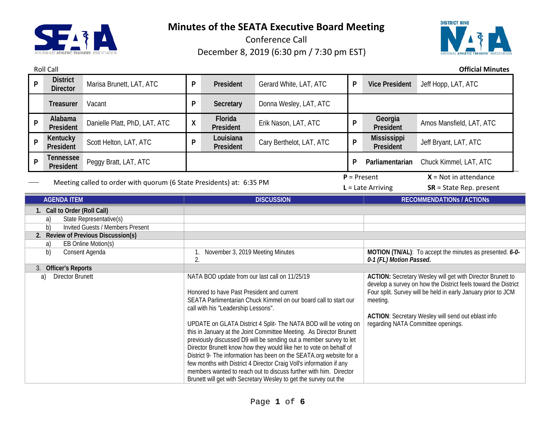

Roll Call **Official Minutes**

Conference Call December 8, 2019 (6:30 pm / 7:30 pm EST)



**<sup>P</sup> District Director** Marisa Brunett, LAT, ATC **<sup>P</sup> President** Gerard White, LAT, ATC **<sup>P</sup> Vice President** Jeff Hopp, LAT, ATC **Treasurer** Vacant **P Secretary** Donna Wesley, LAT, ATC **<sup>P</sup> Alabama President** Danielle Platt, PhD, LAT, ATC **X Florida President President** Erik Nason, LAT, ATC **<sup>P</sup> Georgia**  Amos Mansfield, LAT, ATC **<sup>P</sup> Kentucky President** Scott Helton, LAT, ATC **<sup>P</sup> Louisiana President** Cary Berthelot, LAT, ATC **<sup>P</sup> Mississippi**  Jeff Bryant, LAT, ATC **<sup>P</sup> Tennessee President** Peggy Bratt, LAT, ATC **<sup>P</sup> Parliamentarian** Chuck Kimmel, LAT, ATC Meeting called to order with quorum (6 State Presidents) at: 6:35 PM  $P =$  Present  $X =$  Not in attendance **L** = Late Arriving **SR** = State Rep. present **AGENDA ITEM DISCUSSION RECOMMENDATIONs / ACTIONs 1. Call to Order (Roll Call)** a) State Representative(s) b) Invited Guests / Members Present **2. Review of Previous Discussion(s)** a) EB Online Motion(s) b) Consent Agenda 1. November 3, 2019 Meeting Minutes 2. **MOTION (TN/AL)**: To accept the minutes as presented. *6-0- 0-1 (FL) Motion Passed.* 3. **Officer's Reports** a) Director Brunett **NATA BOD** update from our last call on 11/25/19 Honored to have Past President and current SEATA Parlimentarian Chuck Kimmel on our board call to start our call with his "Leadership Lessons". UPDATE on GLATA District 4 Split- The NATA BOD will be voting on this in January at the Joint Committee Meeting. As Director Brunett previously discussed D9 will be sending out a member survey to let Director Brunett know how they would like her to vote on behalf of District 9- The information has been on the SEATA.org website for a few months with District 4 Director Craig Voll's information if any members wanted to reach out to discuss further with him. Director Brunett will get with Secretary Wesley to get the survey out the **ACTION:** Secretary Wesley will get with Director Brunett to develop a survey on how the District feels toward the District Four split. Survey will be held in early January prior to JCM meeting. **ACTION**: Secretary Wesley will send out eblast info regarding NATA Committee openings.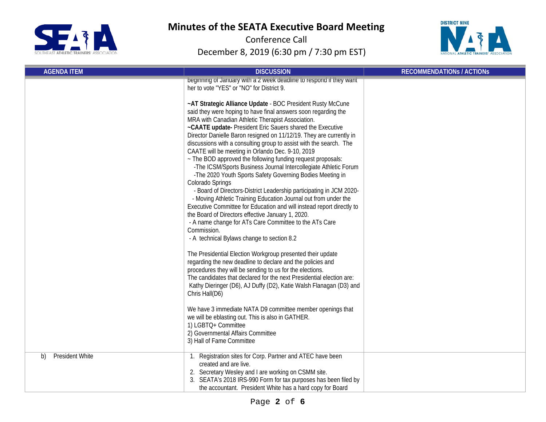



| <b>AGENDA ITEM</b>           | <b>DISCUSSION</b>                                                                                                                                                                                                                                                                                                                                                                                                                                                                                                                                                                                                                  | <b>RECOMMENDATIONS / ACTIONS</b> |
|------------------------------|------------------------------------------------------------------------------------------------------------------------------------------------------------------------------------------------------------------------------------------------------------------------------------------------------------------------------------------------------------------------------------------------------------------------------------------------------------------------------------------------------------------------------------------------------------------------------------------------------------------------------------|----------------------------------|
|                              | beginning of January with a 2 week deadline to respond if they want<br>her to vote "YES" or "NO" for District 9.<br>~AT Strategic Alliance Update - BOC President Rusty McCune<br>said they were hoping to have final answers soon regarding the<br>MRA with Canadian Athletic Therapist Association.<br>~CAATE update- President Eric Sauers shared the Executive<br>Director Danielle Baron resigned on 11/12/19. They are currently in<br>discussions with a consulting group to assist with the search. The<br>CAATE will be meeting in Orlando Dec. 9-10, 2019<br>~ The BOD approved the following funding request proposals: |                                  |
|                              | -The ICSM/Sports Business Journal Intercollegiate Athletic Forum<br>-The 2020 Youth Sports Safety Governing Bodies Meeting in<br>Colorado Springs<br>- Board of Directors-District Leadership participating in JCM 2020-<br>- Moving Athletic Training Education Journal out from under the<br>Executive Committee for Education and will instead report directly to<br>the Board of Directors effective January 1, 2020.<br>- A name change for ATs Care Committee to the ATs Care<br>Commission.<br>- A technical Bylaws change to section 8.2                                                                                   |                                  |
|                              | The Presidential Election Workgroup presented their update<br>regarding the new deadline to declare and the policies and<br>procedures they will be sending to us for the elections.<br>The candidates that declared for the next Presidential election are:<br>Kathy Dieringer (D6), AJ Duffy (D2), Katie Walsh Flanagan (D3) and<br>Chris Hall(D6)                                                                                                                                                                                                                                                                               |                                  |
|                              | We have 3 immediate NATA D9 committee member openings that<br>we will be eblasting out. This is also in GATHER.<br>1) LGBTQ+ Committee<br>2) Governmental Affairs Committee<br>3) Hall of Fame Committee                                                                                                                                                                                                                                                                                                                                                                                                                           |                                  |
| <b>President White</b><br>b) | 1. Registration sites for Corp. Partner and ATEC have been<br>created and are live.<br>2. Secretary Wesley and I are working on CSMM site.<br>3. SEATA's 2018 IRS-990 Form for tax purposes has been filed by<br>the accountant. President White has a hard copy for Board                                                                                                                                                                                                                                                                                                                                                         |                                  |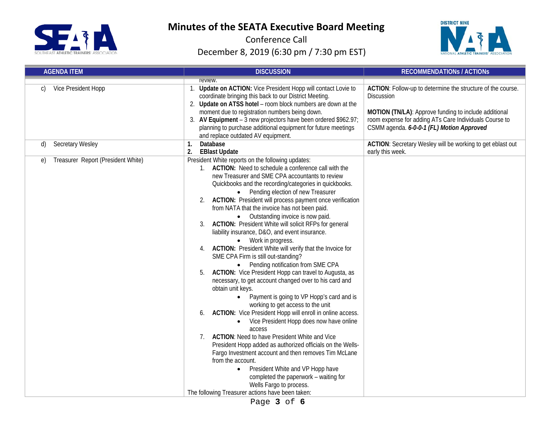



| <b>AGENDA ITEM</b>                       | <b>DISCUSSION</b>                                                                                                                                                                                                                                                                                                                                                                                                                                                                                                                                                                                                                                                                                                                                                                                                                                                                                                                                                                                                                                                                                                                                                                                                                                                                                                                                                                                                                                                                            | <b>RECOMMENDATIONS / ACTIONS</b>                                                                                                                                                                                                          |
|------------------------------------------|----------------------------------------------------------------------------------------------------------------------------------------------------------------------------------------------------------------------------------------------------------------------------------------------------------------------------------------------------------------------------------------------------------------------------------------------------------------------------------------------------------------------------------------------------------------------------------------------------------------------------------------------------------------------------------------------------------------------------------------------------------------------------------------------------------------------------------------------------------------------------------------------------------------------------------------------------------------------------------------------------------------------------------------------------------------------------------------------------------------------------------------------------------------------------------------------------------------------------------------------------------------------------------------------------------------------------------------------------------------------------------------------------------------------------------------------------------------------------------------------|-------------------------------------------------------------------------------------------------------------------------------------------------------------------------------------------------------------------------------------------|
| Vice President Hopp<br>C)                | review.<br>Update on ACTION: Vice President Hopp will contact Lovie to<br>coordinate bringing this back to our District Meeting.<br>2. Update on ATSS hotel - room block numbers are down at the<br>moment due to registration numbers being down.<br>3. AV Equipment - 3 new projectors have been ordered \$962.97;<br>planning to purchase additional equipment for future meetings<br>and replace outdated AV equipment.                                                                                                                                                                                                                                                                                                                                                                                                                                                                                                                                                                                                                                                                                                                                                                                                                                                                                                                                                                                                                                                                  | ACTION: Follow-up to determine the structure of the course.<br>Discussion<br>MOTION (TN/LA): Approve funding to include additional<br>room expense for adding ATs Care Individuals Course to<br>CSMM agenda. 6-0-0-1 (FL) Motion Approved |
| Secretary Wesley<br>d)                   | Database<br>1.<br>2.<br><b>EBlast Update</b>                                                                                                                                                                                                                                                                                                                                                                                                                                                                                                                                                                                                                                                                                                                                                                                                                                                                                                                                                                                                                                                                                                                                                                                                                                                                                                                                                                                                                                                 | ACTION: Secretary Wesley will be working to get eblast out<br>early this week.                                                                                                                                                            |
| Treasurer Report (President White)<br>e) | President White reports on the following updates:<br>1. ACTION: Need to schedule a conference call with the<br>new Treasurer and SME CPA accountants to review<br>Quickbooks and the recording/categories in quickbooks.<br>Pending election of new Treasurer<br>$\bullet$<br>2. ACTION: President will process payment once verification<br>from NATA that the invoice has not been paid.<br>Outstanding invoice is now paid.<br><b>ACTION:</b> President White will solicit RFPs for general<br>liability insurance, D&O, and event insurance.<br>• Work in progress.<br>ACTION: President White will verify that the Invoice for<br>4.<br>SME CPA Firm is still out-standing?<br>• Pending notification from SME CPA<br>ACTION: Vice President Hopp can travel to Augusta, as<br>5.<br>necessary, to get account changed over to his card and<br>obtain unit keys.<br>Payment is going to VP Hopp's card and is<br>$\bullet$<br>working to get access to the unit<br>ACTION: Vice President Hopp will enroll in online access.<br>6.<br>Vice President Hopp does now have online<br>$\bullet$<br>access<br><b>ACTION:</b> Need to have President White and Vice<br>7.<br>President Hopp added as authorized officials on the Wells-<br>Fargo Investment account and then removes Tim McLane<br>from the account.<br>President White and VP Hopp have<br>$\bullet$<br>completed the paperwork - waiting for<br>Wells Fargo to process.<br>The following Treasurer actions have been taken: |                                                                                                                                                                                                                                           |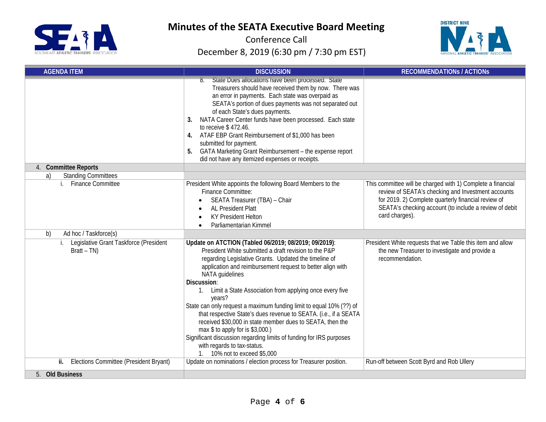



| <b>AGENDA ITEM</b>                                        | <b>DISCUSSION</b>                                                                                                                                                                                                                                                                                                                                                                                                                                                                                                                                                                                                                                                                                                                 | <b>RECOMMENDATIONS / ACTIONS</b>                                                                                                                                                                                                                     |  |
|-----------------------------------------------------------|-----------------------------------------------------------------------------------------------------------------------------------------------------------------------------------------------------------------------------------------------------------------------------------------------------------------------------------------------------------------------------------------------------------------------------------------------------------------------------------------------------------------------------------------------------------------------------------------------------------------------------------------------------------------------------------------------------------------------------------|------------------------------------------------------------------------------------------------------------------------------------------------------------------------------------------------------------------------------------------------------|--|
|                                                           | State Dues allocations have been processed. State<br>8.<br>Treasurers should have received them by now. There was<br>an error in payments. Each state was overpaid as<br>SEATA's portion of dues payments was not separated out<br>of each State's dues payments.<br>NATA Career Center funds have been processed. Each state<br>3.<br>to receive \$472.46.<br>ATAF EBP Grant Reimbursement of \$1,000 has been<br>4.<br>submitted for payment.<br>GATA Marketing Grant Reimbursement - the expense report<br>5.<br>did not have any itemized expenses or receipts.                                                                                                                                                               |                                                                                                                                                                                                                                                      |  |
| 4. Committee Reports<br><b>Standing Committees</b><br>a)  |                                                                                                                                                                                                                                                                                                                                                                                                                                                                                                                                                                                                                                                                                                                                   |                                                                                                                                                                                                                                                      |  |
| i. Finance Committee                                      | President White appoints the following Board Members to the<br><b>Finance Committee:</b><br>SEATA Treasurer (TBA) - Chair<br><b>AL President Platt</b><br><b>KY President Helton</b><br>Parliamentarian Kimmel<br>$\bullet$                                                                                                                                                                                                                                                                                                                                                                                                                                                                                                       | This committee will be charged with 1) Complete a financial<br>review of SEATA's checking and Investment accounts<br>for 2019. 2) Complete quarterly financial review of<br>SEATA's checking account (to include a review of debit<br>card charges). |  |
| Ad hoc / Taskforce(s)<br>b)                               |                                                                                                                                                                                                                                                                                                                                                                                                                                                                                                                                                                                                                                                                                                                                   |                                                                                                                                                                                                                                                      |  |
| i. Legislative Grant Taskforce (President<br>$Bratt - TN$ | Update on ATCTION (Tabled 06/2019; 08/2019; 09/2019):<br>President White submitted a draft revision to the P&P<br>regarding Legislative Grants. Updated the timeline of<br>application and reimbursement request to better align with<br>NATA guidelines<br>Discussion:<br>1. Limit a State Association from applying once every five<br>years?<br>State can only request a maximum funding limit to equal 10% (??) of<br>that respective State's dues revenue to SEATA. (i.e., if a SEATA<br>received \$30,000 in state member dues to SEATA, then the<br>max \$ to apply for is \$3,000.)<br>Significant discussion regarding limits of funding for IRS purposes<br>with regards to tax-status.<br>1. 10% not to exceed \$5,000 | President White requests that we Table this item and allow<br>the new Treasurer to investigate and provide a<br>recommendation.                                                                                                                      |  |
| ii. Elections Committee (President Bryant)                | Update on nominations / election process for Treasurer position.<br>Run-off between Scott Byrd and Rob Ullery                                                                                                                                                                                                                                                                                                                                                                                                                                                                                                                                                                                                                     |                                                                                                                                                                                                                                                      |  |
| 5. Old Business                                           |                                                                                                                                                                                                                                                                                                                                                                                                                                                                                                                                                                                                                                                                                                                                   |                                                                                                                                                                                                                                                      |  |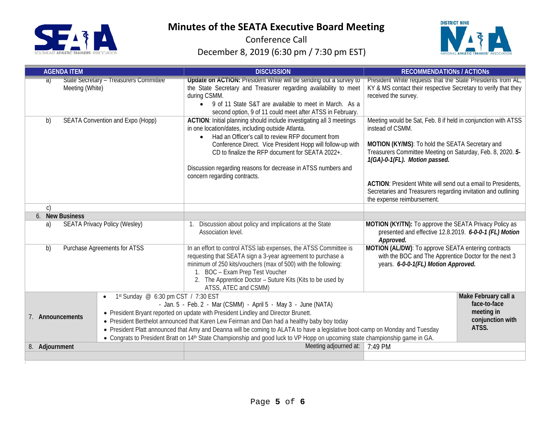

:

# **Minutes of the SEATA Executive Board Meeting**



| <b>AGENDA ITEM</b>    |                                                  | <b>DISCUSSION</b>                                                                                                                                                                                                                                                                                                                                                                                                                                                                                                                | <b>RECOMMENDATIONS / ACTIONS</b>                                                                                                                                                                                                    |  |
|-----------------------|--------------------------------------------------|----------------------------------------------------------------------------------------------------------------------------------------------------------------------------------------------------------------------------------------------------------------------------------------------------------------------------------------------------------------------------------------------------------------------------------------------------------------------------------------------------------------------------------|-------------------------------------------------------------------------------------------------------------------------------------------------------------------------------------------------------------------------------------|--|
| a)<br>Meeting (White) | State Secretary - Treasurers Committee           | Update on ACTION: President White will be sending out a survey to<br>the State Secretary and Treasurer regarding availability to meet<br>during CSMM.<br>• 9 of 11 State S&T are available to meet in March. As a<br>second option, 9 of 11 could meet after ATSS in February.                                                                                                                                                                                                                                                   | President White requests that the State Presidents from AL,<br>KY & MS contact their respective Secretary to verify that they<br>received the survey.                                                                               |  |
| b)                    | SEATA Convention and Expo (Hopp)                 | ACTION: Initial planning should include investigating all 3 meetings<br>in one location/dates, including outside Atlanta.<br>Had an Officer's call to review RFP document from<br>$\bullet$<br>Conference Direct. Vice President Hopp will follow-up with<br>CD to finalize the RFP document for SEATA 2022+.                                                                                                                                                                                                                    | Meeting would be Sat, Feb. 8 if held in conjunction with ATSS<br>instead of CSMM.<br>MOTION (KY/MS): To hold the SEATA Secretary and<br>Treasurers Committee Meeting on Saturday, Feb. 8, 2020. 5-<br>1(GA)-0-1(FL). Motion passed. |  |
|                       |                                                  | Discussion regarding reasons for decrease in ATSS numbers and<br>concern regarding contracts.                                                                                                                                                                                                                                                                                                                                                                                                                                    | ACTION: President White will send out a email to Presidents,<br>Secretaries and Treasurers regarding invitation and outlining<br>the expense reimbursement.                                                                         |  |
| $\mathsf{C}$          |                                                  |                                                                                                                                                                                                                                                                                                                                                                                                                                                                                                                                  |                                                                                                                                                                                                                                     |  |
| 6. New Business       |                                                  |                                                                                                                                                                                                                                                                                                                                                                                                                                                                                                                                  |                                                                                                                                                                                                                                     |  |
| a)                    | <b>SEATA Privacy Policy (Wesley)</b>             | Discussion about policy and implications at the State<br>Association level.                                                                                                                                                                                                                                                                                                                                                                                                                                                      | MOTION (KY/TN): To approve the SEATA Privacy Policy as<br>presented and effective 12.8.2019. 6-0-0-1 (FL) Motion<br>Approved.                                                                                                       |  |
| b)                    | Purchase Agreements for ATSS                     | In an effort to control ATSS lab expenses, the ATSS Committee is<br>requesting that SEATA sign a 3-year agreement to purchase a<br>minimum of 250 kits/vouchers (max of 500) with the following:<br>1. BOC - Exam Prep Test Voucher<br>2. The Apprentice Doctor - Suture Kits (Kits to be used by<br>ATSS, ATEC and CSMM)                                                                                                                                                                                                        | MOTION (AL/DW): To approve SEATA entering contracts<br>with the BOC and The Apprentice Doctor for the next 3<br>years. 6-0-0-1(FL) Motion Approved.                                                                                 |  |
| 7. Announcements      | 1st Sunday @ 6:30 pm CST / 7:30 EST<br>$\bullet$ | - Jan. 5 - Feb. 2 - Mar (CSMM) - April 5 - May 3 - June (NATA)<br>• President Bryant reported on update with President Lindley and Director Brunett.<br>• President Berthelot announced that Karen Lew Feirman and Dan had a healthy baby boy today<br>• President Platt announced that Amy and Deanna will be coming to ALATA to have a legislative boot-camp on Monday and Tuesday<br>• Congrats to President Bratt on 14 <sup>th</sup> State Championship and good luck to VP Hopp on upcoming state championship game in GA. | Make February call a<br>face-to-face<br>meeting in<br>conjunction with<br>ATSS.                                                                                                                                                     |  |
| 8. Adjournment        |                                                  | Meeting adjourned at:                                                                                                                                                                                                                                                                                                                                                                                                                                                                                                            | 7:49 PM                                                                                                                                                                                                                             |  |
|                       |                                                  |                                                                                                                                                                                                                                                                                                                                                                                                                                                                                                                                  |                                                                                                                                                                                                                                     |  |